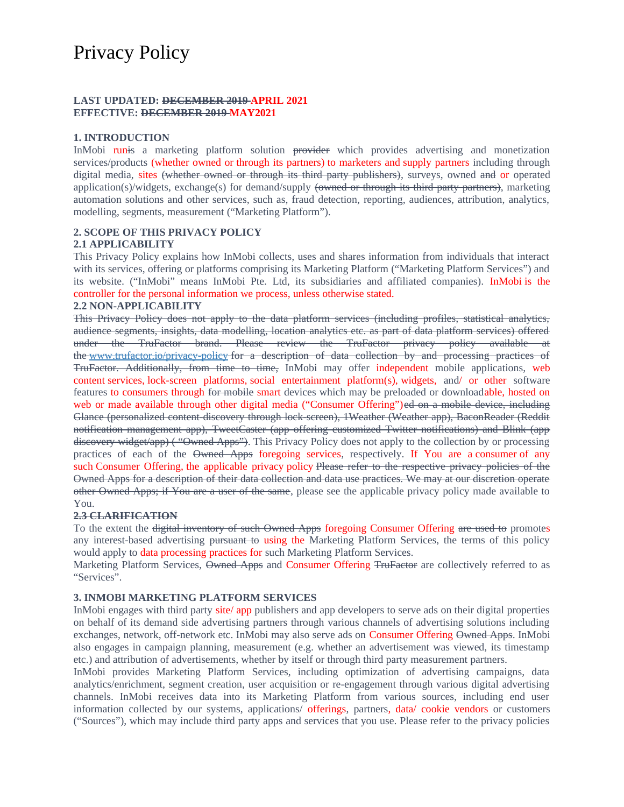# Privacy Policy

## **LAST UPDATED: DECEMBER 2019 APRIL 2021 EFFECTIVE: DECEMBER 2019 MAY2021**

## **1. INTRODUCTION**

InMobi runis a marketing platform solution provider which provides advertising and monetization services/products (whether owned or through its partners) to marketers and supply partners including through digital media, sites (whether owned or through its third party publishers), surveys, owned and or operated application(s)/widgets, exchange(s) for demand/supply (owned or through its third party partners), marketing automation solutions and other services, such as, fraud detection, reporting, audiences, attribution, analytics, modelling, segments, measurement ("Marketing Platform").

# **2. SCOPE OF THIS PRIVACY POLICY**

#### **2.1 APPLICABILITY**

This Privacy Policy explains how InMobi collects, uses and shares information from individuals that interact with its services, offering or platforms comprising its Marketing Platform ("Marketing Platform Services") and its website. ("InMobi" means InMobi Pte. Ltd, its subsidiaries and affiliated companies). InMobi is the controller for the personal information we process, unless otherwise stated.

#### **2.2 NON-APPLICABILITY**

This Privacy Policy does not apply to the data platform services (including profiles, statistical analytics, audience segments, insights, data modelling, location analytics etc. as part of data platform services) offered under the TruFactor brand. Please review the TruFactor privacy policy available at the www.trufactor.io/privacy-policy for a description of data collection by and processing practices of TruFactor. Additionally, from time to time, InMobi may offer independent mobile applications, web content services, lock-screen platforms, social entertainment platform(s), widgets, and/ or other software features to consumers through for mobile smart devices which may be preloaded or downloadable, hosted on web or made available through other digital media ("Consumer Offering")e<del>d on a mobile device, including</del> Glance (personalized content-discovery through lock-screen), 1Weather (Weather app), BaconReader (Reddit notification management app), TweetCaster (app offering customized Twitter notifications) and Blink (app discovery widget/app) ( "Owned Apps"). This Privacy Policy does not apply to the collection by or processing practices of each of the Owned Apps foregoing services, respectively. If You are a consumer of any such Consumer Offering, the applicable privacy policy Please refer to the respective privacy policies of the Owned Apps for a description of their data collection and data use practices. We may at our discretion operate other Owned Apps; if You are a user of the same, please see the applicable privacy policy made available to You.

#### **2.3 CLARIFICATION**

To the extent the <del>digital inventory of such Owned Apps</del> foregoing Consumer Offering are used to promotes any interest-based advertising pursuant to using the Marketing Platform Services, the terms of this policy would apply to data processing practices for such Marketing Platform Services.

Marketing Platform Services, Owned Apps and Consumer Offering TruFactor are collectively referred to as "Services".

#### **3. INMOBI MARKETING PLATFORM SERVICES**

InMobi engages with third party site/ app publishers and app developers to serve ads on their digital properties on behalf of its demand side advertising partners through various channels of advertising solutions including exchanges, network, off-network etc. InMobi may also serve ads on Consumer Offering Owned Apps. InMobi also engages in campaign planning, measurement (e.g. whether an advertisement was viewed, its timestamp etc.) and attribution of advertisements, whether by itself or through third party measurement partners.

InMobi provides Marketing Platform Services, including optimization of advertising campaigns, data analytics/enrichment, segment creation, user acquisition or re-engagement through various digital advertising channels. InMobi receives data into its Marketing Platform from various sources, including end user information collected by our systems, applications/ offerings, partners, data/ cookie vendors or customers ("Sources"), which may include third party apps and services that you use. Please refer to the privacy policies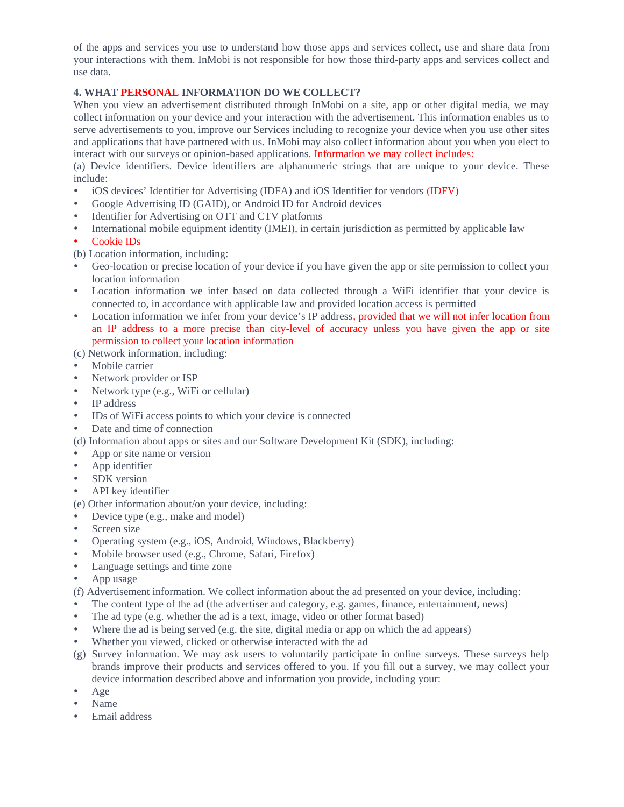of the apps and services you use to understand how those apps and services collect, use and share data from your interactions with them. InMobi is not responsible for how those third-party apps and services collect and use data.

# **4. WHAT PERSONAL INFORMATION DO WE COLLECT?**

When you view an advertisement distributed through InMobi on a site, app or other digital media, we may collect information on your device and your interaction with the advertisement. This information enables us to serve advertisements to you, improve our Services including to recognize your device when you use other sites and applications that have partnered with us. InMobi may also collect information about you when you elect to interact with our surveys or opinion-based applications. Information we may collect includes:

(a) Device identifiers. Device identifiers are alphanumeric strings that are unique to your device. These include:

- iOS devices' Identifier for Advertising (IDFA) and iOS Identifier for vendors (IDFV)
- Google Advertising ID (GAID), or Android ID for Android devices
- Identifier for Advertising on OTT and CTV platforms
- International mobile equipment identity (IMEI), in certain jurisdiction as permitted by applicable law
- Cookie IDs

(b) Location information, including:

- Geo-location or precise location of your device if you have given the app or site permission to collect your location information
- Location information we infer based on data collected through a WiFi identifier that your device is connected to, in accordance with applicable law and provided location access is permitted
- Location information we infer from your device's IP address, provided that we will not infer location from an IP address to a more precise than city-level of accuracy unless you have given the app or site permission to collect your location information

# (c) Network information, including:

- Mobile carrier
- Network provider or ISP
- Network type (e.g., WiFi or cellular)
- IP address
- IDs of WiFi access points to which your device is connected
- Date and time of connection
- (d) Information about apps or sites and our Software Development Kit (SDK), including:
- App or site name or version
- App identifier
- SDK version
- API key identifier

(e) Other information about/on your device, including:

- Device type (e.g., make and model)
- Screen size
- Operating system (e.g., iOS, Android, Windows, Blackberry)
- Mobile browser used (e.g., Chrome, Safari, Firefox)
- Language settings and time zone
- App usage

(f) Advertisement information. We collect information about the ad presented on your device, including:

- The content type of the ad (the advertiser and category, e.g. games, finance, entertainment, news)
- The ad type (e.g. whether the ad is a text, image, video or other format based)
- Where the ad is being served (e.g. the site, digital media or app on which the ad appears)
- Whether you viewed, clicked or otherwise interacted with the ad
- (g) Survey information. We may ask users to voluntarily participate in online surveys. These surveys help brands improve their products and services offered to you. If you fill out a survey, we may collect your device information described above and information you provide, including your:
- Age
- Name
- Email address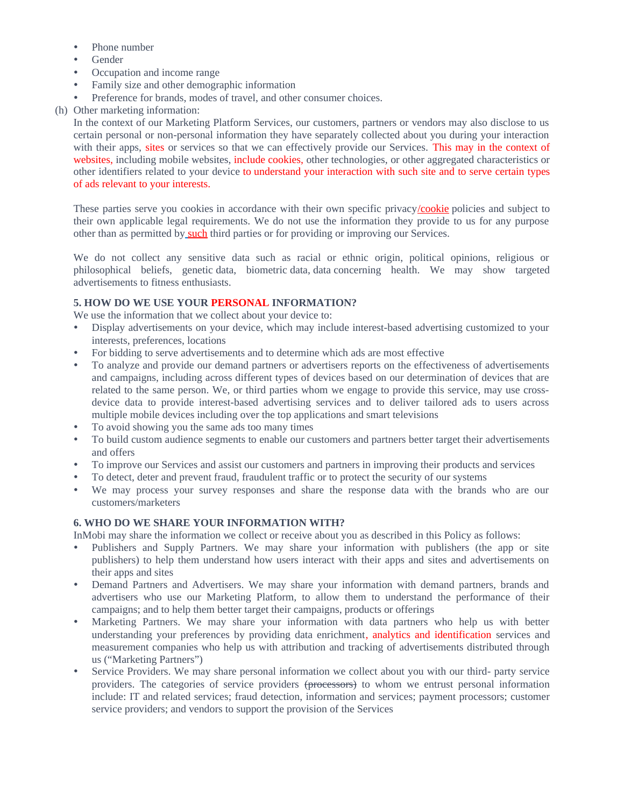- Phone number
- Gender
- Occupation and income range
- Family size and other demographic information
- Preference for brands, modes of travel, and other consumer choices.
- (h) Other marketing information:

In the context of our Marketing Platform Services, our customers, partners or vendors may also disclose to us certain personal or non-personal information they have separately collected about you during your interaction with their apps, sites or services so that we can effectively provide our Services. This may in the context of websites, including mobile websites, include cookies, other technologies, or other aggregated characteristics or other identifiers related to your device to understand your interaction with such site and to serve certain types of ads relevant to your interests. 

These parties serve you cookies in accordance with their own specific privacy/cookie policies and subject to their own applicable legal requirements. We do not use the information they provide to us for any purpose other than as permitted by such third parties or for providing or improving our Services.

We do not collect any sensitive data such as racial or ethnic origin, political opinions, religious or philosophical beliefs, genetic data, biometric data, data concerning health. We may show targeted advertisements to fitness enthusiasts.

## **5. HOW DO WE USE YOUR PERSONAL INFORMATION?**

We use the information that we collect about your device to:

- Display advertisements on your device, which may include interest-based advertising customized to your interests, preferences, locations
- For bidding to serve advertisements and to determine which ads are most effective
- To analyze and provide our demand partners or advertisers reports on the effectiveness of advertisements and campaigns, including across different types of devices based on our determination of devices that are related to the same person. We, or third parties whom we engage to provide this service, may use crossdevice data to provide interest-based advertising services and to deliver tailored ads to users across multiple mobile devices including over the top applications and smart televisions
- To avoid showing you the same ads too many times
- To build custom audience segments to enable our customers and partners better target their advertisements and offers
- To improve our Services and assist our customers and partners in improving their products and services
- To detect, deter and prevent fraud, fraudulent traffic or to protect the security of our systems
- We may process your survey responses and share the response data with the brands who are our customers/marketers

#### **6. WHO DO WE SHARE YOUR INFORMATION WITH?**

InMobi may share the information we collect or receive about you as described in this Policy as follows:

- Publishers and Supply Partners. We may share your information with publishers (the app or site publishers) to help them understand how users interact with their apps and sites and advertisements on their apps and sites
- Demand Partners and Advertisers. We may share your information with demand partners, brands and advertisers who use our Marketing Platform, to allow them to understand the performance of their campaigns; and to help them better target their campaigns, products or offerings
- Marketing Partners. We may share your information with data partners who help us with better understanding your preferences by providing data enrichment, analytics and identification services and measurement companies who help us with attribution and tracking of advertisements distributed through us ("Marketing Partners")
- Service Providers. We may share personal information we collect about you with our third- party service providers. The categories of service providers (processors) to whom we entrust personal information include: IT and related services; fraud detection, information and services; payment processors; customer service providers; and vendors to support the provision of the Services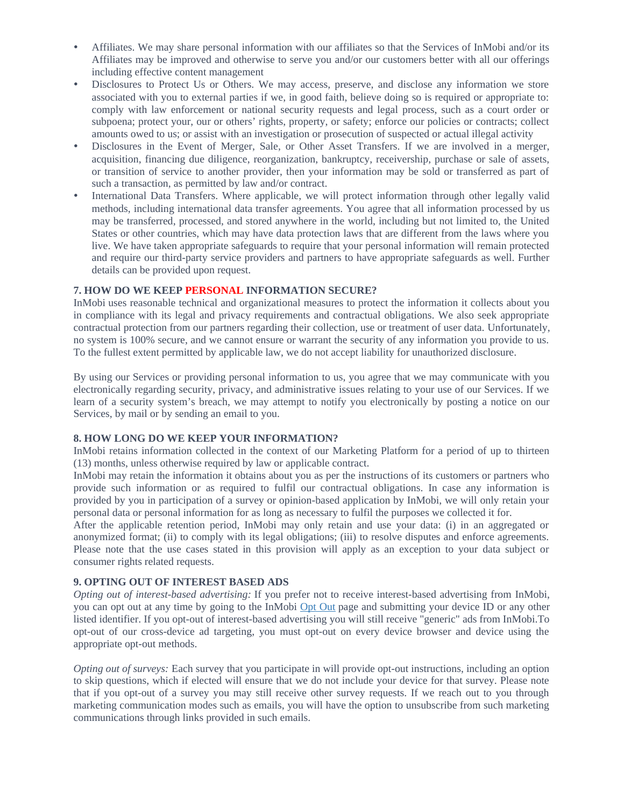- Affiliates. We may share personal information with our affiliates so that the Services of InMobi and/or its Affiliates may be improved and otherwise to serve you and/or our customers better with all our offerings including effective content management
- Disclosures to Protect Us or Others. We may access, preserve, and disclose any information we store associated with you to external parties if we, in good faith, believe doing so is required or appropriate to: comply with law enforcement or national security requests and legal process, such as a court order or subpoena; protect your, our or others' rights, property, or safety; enforce our policies or contracts; collect amounts owed to us; or assist with an investigation or prosecution of suspected or actual illegal activity
- Disclosures in the Event of Merger, Sale, or Other Asset Transfers. If we are involved in a merger, acquisition, financing due diligence, reorganization, bankruptcy, receivership, purchase or sale of assets, or transition of service to another provider, then your information may be sold or transferred as part of such a transaction, as permitted by law and/or contract.
- International Data Transfers. Where applicable, we will protect information through other legally valid methods, including international data transfer agreements. You agree that all information processed by us may be transferred, processed, and stored anywhere in the world, including but not limited to, the United States or other countries, which may have data protection laws that are different from the laws where you live. We have taken appropriate safeguards to require that your personal information will remain protected and require our third-party service providers and partners to have appropriate safeguards as well. Further details can be provided upon request.

#### **7. HOW DO WE KEEP PERSONAL INFORMATION SECURE?**

InMobi uses reasonable technical and organizational measures to protect the information it collects about you in compliance with its legal and privacy requirements and contractual obligations. We also seek appropriate contractual protection from our partners regarding their collection, use or treatment of user data. Unfortunately, no system is 100% secure, and we cannot ensure or warrant the security of any information you provide to us. To the fullest extent permitted by applicable law, we do not accept liability for unauthorized disclosure.

By using our Services or providing personal information to us, you agree that we may communicate with you electronically regarding security, privacy, and administrative issues relating to your use of our Services. If we learn of a security system's breach, we may attempt to notify you electronically by posting a notice on our Services, by mail or by sending an email to you.

# **8. HOW LONG DO WE KEEP YOUR INFORMATION?**

InMobi retains information collected in the context of our Marketing Platform for a period of up to thirteen (13) months, unless otherwise required by law or applicable contract.

InMobi may retain the information it obtains about you as per the instructions of its customers or partners who provide such information or as required to fulfil our contractual obligations. In case any information is provided by you in participation of a survey or opinion-based application by InMobi, we will only retain your personal data or personal information for as long as necessary to fulfil the purposes we collected it for.

After the applicable retention period, InMobi may only retain and use your data: (i) in an aggregated or anonymized format; (ii) to comply with its legal obligations; (iii) to resolve disputes and enforce agreements. Please note that the use cases stated in this provision will apply as an exception to your data subject or consumer rights related requests.

# **9. OPTING OUT OF INTEREST BASED ADS**

*Opting out of interest-based advertising:* If you prefer not to receive interest-based advertising from InMobi, you can opt out at any time by going to the InMobi Opt Out page and submitting your device ID or any other listed identifier. If you opt-out of interest-based advertising you will still receive "generic" ads from InMobi.To opt-out of our cross-device ad targeting, you must opt-out on every device browser and device using the appropriate opt-out methods.

*Opting out of surveys:* Each survey that you participate in will provide opt-out instructions, including an option to skip questions, which if elected will ensure that we do not include your device for that survey. Please note that if you opt-out of a survey you may still receive other survey requests. If we reach out to you through marketing communication modes such as emails, you will have the option to unsubscribe from such marketing communications through links provided in such emails.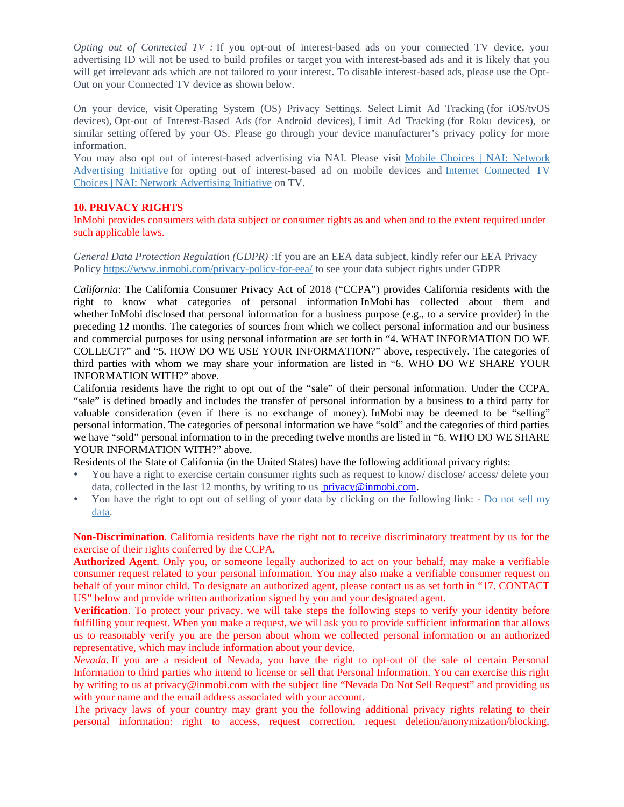*Opting out of Connected TV :* If you opt-out of interest-based ads on your connected TV device, your advertising ID will not be used to build profiles or target you with interest-based ads and it is likely that you will get irrelevant ads which are not tailored to your interest. To disable interest-based ads, please use the Opt-Out on your Connected TV device as shown below.

On your device, visit Operating System (OS) Privacy Settings. Select Limit Ad Tracking (for iOS/tvOS devices), Opt-out of Interest-Based Ads (for Android devices), Limit Ad Tracking (for Roku devices), or similar setting offered by your OS. Please go through your device manufacturer's privacy policy for more information.

You may also opt out of interest-based advertising via NAI. Please visit Mobile Choices | NAI: Network Advertising Initiative for opting out of interest-based ad on mobile devices and Internet Connected TV Choices | NAI: Network Advertising Initiative on TV.

## **10. PRIVACY RIGHTS**

InMobi provides consumers with data subject or consumer rights as and when and to the extent required under such applicable laws.

*General Data Protection Regulation (GDPR) :*If you are an EEA data subject, kindly refer our EEA Privacy Policy https://www.inmobi.com/privacy-policy-for-eea/ to see your data subject rights under GDPR

*California*: The California Consumer Privacy Act of 2018 ("CCPA") provides California residents with the right to know what categories of personal information InMobi has collected about them and whether InMobi disclosed that personal information for a business purpose (e.g., to a service provider) in the preceding 12 months. The categories of sources from which we collect personal information and our business and commercial purposes for using personal information are set forth in "4. WHAT INFORMATION DO WE COLLECT?" and "5. HOW DO WE USE YOUR INFORMATION?" above, respectively. The categories of third parties with whom we may share your information are listed in "6. WHO DO WE SHARE YOUR INFORMATION WITH?" above.

California residents have the right to opt out of the "sale" of their personal information. Under the CCPA, "sale" is defined broadly and includes the transfer of personal information by a business to a third party for valuable consideration (even if there is no exchange of money). InMobi may be deemed to be "selling" personal information. The categories of personal information we have "sold" and the categories of third parties we have "sold" personal information to in the preceding twelve months are listed in "6. WHO DO WE SHARE YOUR INFORMATION WITH?" above.

Residents of the State of California (in the United States) have the following additional privacy rights:

- You have a right to exercise certain consumer rights such as request to know/ disclose/ access/ delete your data, collected in the last 12 months, by writing to us  $\frac{\text{privacy}}{\text{plimobi.com}}$ .
- You have the right to opt out of selling of your data by clicking on the following link: Do not sell my data.

**Non-Discrimination**. California residents have the right not to receive discriminatory treatment by us for the exercise of their rights conferred by the CCPA.

**Authorized Agent**. Only you, or someone legally authorized to act on your behalf, may make a verifiable consumer request related to your personal information. You may also make a verifiable consumer request on behalf of your minor child. To designate an authorized agent, please contact us as set forth in "17. CONTACT US" below and provide written authorization signed by you and your designated agent.

**Verification**. To protect your privacy, we will take steps the following steps to verify your identity before fulfilling your request. When you make a request, we will ask you to provide sufficient information that allows us to reasonably verify you are the person about whom we collected personal information or an authorized representative, which may include information about your device.

*Nevada.* If you are a resident of Nevada, you have the right to opt-out of the sale of certain Personal Information to third parties who intend to license or sell that Personal Information. You can exercise this right by writing to us at [privacy@inmobi.com](mailto:privacy@inmobi.com) with the subject line "Nevada Do Not Sell Request" and providing us with your name and the email address associated with your account.

The privacy laws of your country may grant you the following additional privacy rights relating to their personal information: right to access, request correction, request deletion/anonymization/blocking,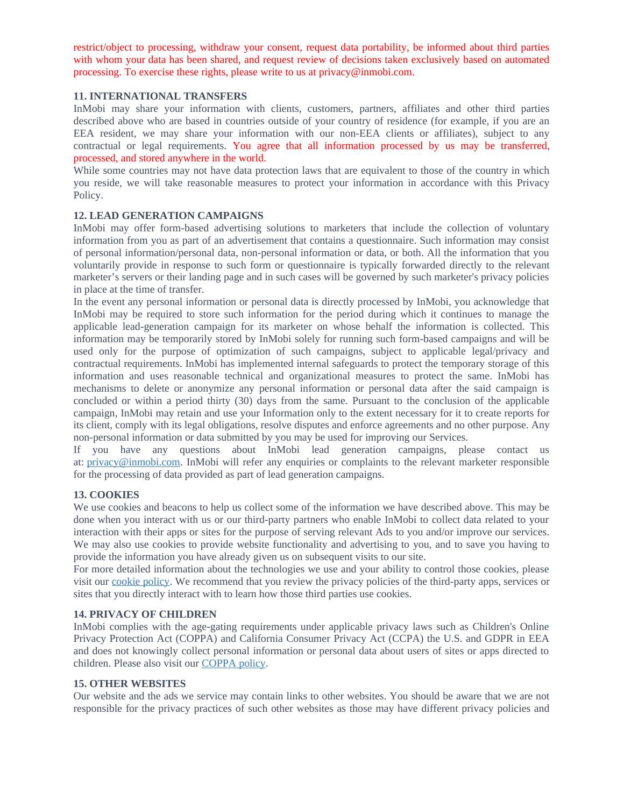restrict/object to processing, withdraw your consent, request data portability, be informed about third parties with whom your data has been shared, and request review of decisions taken exclusively based on automated processing. To exercise these rights, please write to us at [privacy@inmobi.com.](mailto:privacy@inmobi.com)

#### **11. INTERNATIONAL TRANSFERS**

InMobi may share your information with clients, customers, partners, affiliates and other third parties described above who are based in countries outside of your country of residence (for example, if you are an EEA resident, we may share your information with our non-EEA clients or affiliates), subject to any contractual or legal requirements. You agree that all information processed by us may be transferred, processed, and stored anywhere in the world.

While some countries may not have data protection laws that are equivalent to those of the country in which you reside, we will take reasonable measures to protect your information in accordance with this Privacy Policy.

#### **12. LEAD GENERATION CAMPAIGNS**

InMobi may offer form-based advertising solutions to marketers that include the collection of voluntary information from you as part of an advertisement that contains a questionnaire. Such information may consist of personal information/personal data, non-personal information or data, or both. All the information that you voluntarily provide in response to such form or questionnaire is typically forwarded directly to the relevant marketer's servers or their landing page and in such cases will be governed by such marketer's privacy policies in place at the time of transfer.

In the event any personal information or personal data is directly processed by InMobi, you acknowledge that InMobi may be required to store such information for the period during which it continues to manage the applicable lead-generation campaign for its marketer on whose behalf the information is collected. This information may be temporarily stored by InMobi solely for running such form-based campaigns and will be used only for the purpose of optimization of such campaigns, subject to applicable legal/privacy and contractual requirements. InMobi has implemented internal safeguards to protect the temporary storage of this information and uses reasonable technical and organizational measures to protect the same. InMobi has mechanisms to delete or anonymize any personal information or personal data after the said campaign is concluded or within a period thirty (30) days from the same. Pursuant to the conclusion of the applicable campaign, InMobi may retain and use your Information only to the extent necessary for it to create reports for its client, comply with its legal obligations, resolve disputes and enforce agreements and no other purpose. Any non-personal information or data submitted by you may be used for improving our Services.

If you have any questions about InMobi lead generation campaigns, please contact us at: privacy@inmobi.com. InMobi will refer any enquiries or complaints to the relevant marketer responsible for the processing of data provided as part of lead generation campaigns.

#### **13. COOKIES**

We use cookies and beacons to help us collect some of the information we have described above. This may be done when you interact with us or our third-party partners who enable InMobi to collect data related to your interaction with their apps or sites for the purpose of serving relevant Ads to you and/or improve our services. We may also use cookies to provide website functionality and advertising to you, and to save you having to provide the information you have already given us on subsequent visits to our site.

For more detailed information about the technologies we use and your ability to control those cookies, please visit our cookie policy. We recommend that you review the privacy policies of the third-party apps, services or sites that you directly interact with to learn how those third parties use cookies.

#### **14. PRIVACY OF CHILDREN**

InMobi complies with the age-gating requirements under applicable privacy laws such as Children's Online Privacy Protection Act (COPPA) and California Consumer Privacy Act (CCPA) the U.S. and GDPR in EEA and does not knowingly collect personal information or personal data about users of sites or apps directed to children. Please also visit our COPPA policy.

## **15. OTHER WEBSITES**

Our website and the ads we service may contain links to other websites. You should be aware that we are not responsible for the privacy practices of such other websites as those may have different privacy policies and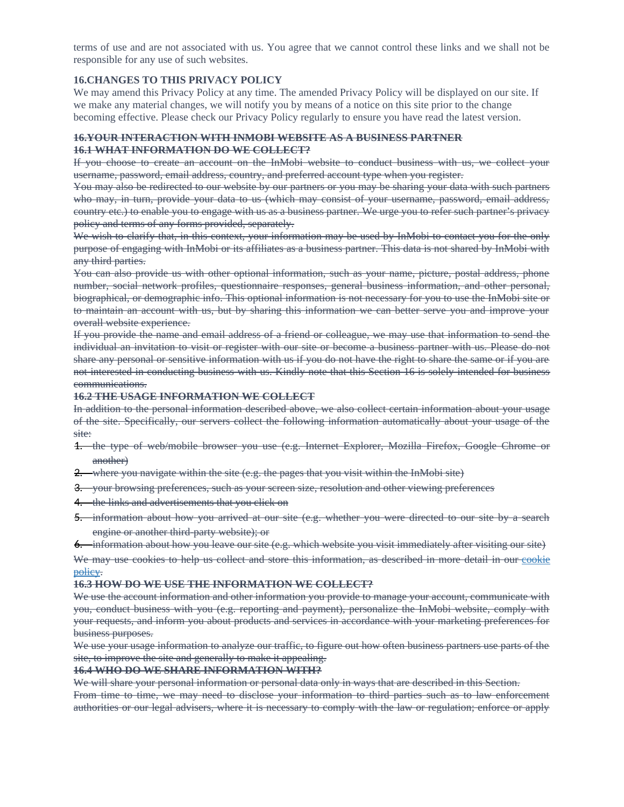terms of use and are not associated with us. You agree that we cannot control these links and we shall not be responsible for any use of such websites.

## **16.CHANGES TO THIS PRIVACY POLICY**

We may amend this Privacy Policy at any time. The amended Privacy Policy will be displayed on our site. If we make any material changes, we will notify you by means of a notice on this site prior to the change becoming effective. Please check our Privacy Policy regularly to ensure you have read the latest version.

#### **16.YOUR INTERACTION WITH INMOBI WEBSITE AS A BUSINESS PARTNER 16.1 WHAT INFORMATION DO WE COLLECT?**

If you choose to create an account on the InMobi website to conduct business with us, we collect your username, password, email address, country, and preferred account type when you register.

You may also be redirected to our website by our partners or you may be sharing your data with such partners who may, in turn, provide your data to us (which may consist of your username, password, email address, country etc.) to enable you to engage with us as a business partner. We urge you to refer such partner's privacy policy and terms of any forms provided, separately.

We wish to clarify that, in this context, your information may be used by InMobi to contact you for the only purpose of engaging with InMobi or its affiliates as a business partner. This data is not shared by InMobi with any third parties.

You can also provide us with other optional information, such as your name, picture, postal address, phone number, social network profiles, questionnaire responses, general business information, and other personal, biographical, or demographic info. This optional information is not necessary for you to use the InMobi site or to maintain an account with us, but by sharing this information we can better serve you and improve your overall website experience.

If you provide the name and email address of a friend or colleague, we may use that information to send the individual an invitation to visit or register with our site or become a business partner with us. Please do not share any personal or sensitive information with us if you do not have the right to share the same or if you are not interested in conducting business with us. Kindly note that this Section 16 is solely intended for business communications.

#### **16.2 THE USAGE INFORMATION WE COLLECT**

In addition to the personal information described above, we also collect certain information about your usage of the site. Specifically, our servers collect the following information automatically about your usage of the site:

- 1. the type of web/mobile browser you use (e.g. Internet Explorer, Mozilla Firefox, Google Chrome or another)
- 2. where you navigate within the site (e.g. the pages that you visit within the InMobi site)
- 3. your browsing preferences, such as your screen size, resolution and other viewing preferences
- 4. the links and advertisements that you click on
- 5. information about how you arrived at our site (e.g. whether you were directed to our site by a search engine or another third-party website); or
- 6. information about how you leave our site (e.g. which website you visit immediately after visiting our site)

We may use cookies to help us collect and store this information, as described in more detail in our cookie policy.

#### **16.3 HOW DO WE USE THE INFORMATION WE COLLECT?**

We use the account information and other information you provide to manage your account, communicate with you, conduct business with you (e.g. reporting and payment), personalize the InMobi website, comply with your requests, and inform you about products and services in accordance with your marketing preferences for business purposes.

We use your usage information to analyze our traffic, to figure out how often business partners use parts of the site, to improve the site and generally to make it appealing.

#### **16.4 WHO DO WE SHARE INFORMATION WITH?**

We will share your personal information or personal data only in ways that are described in this Section.

From time to time, we may need to disclose your information to third parties such as to law enforcement authorities or our legal advisers, where it is necessary to comply with the law or regulation; enforce or apply